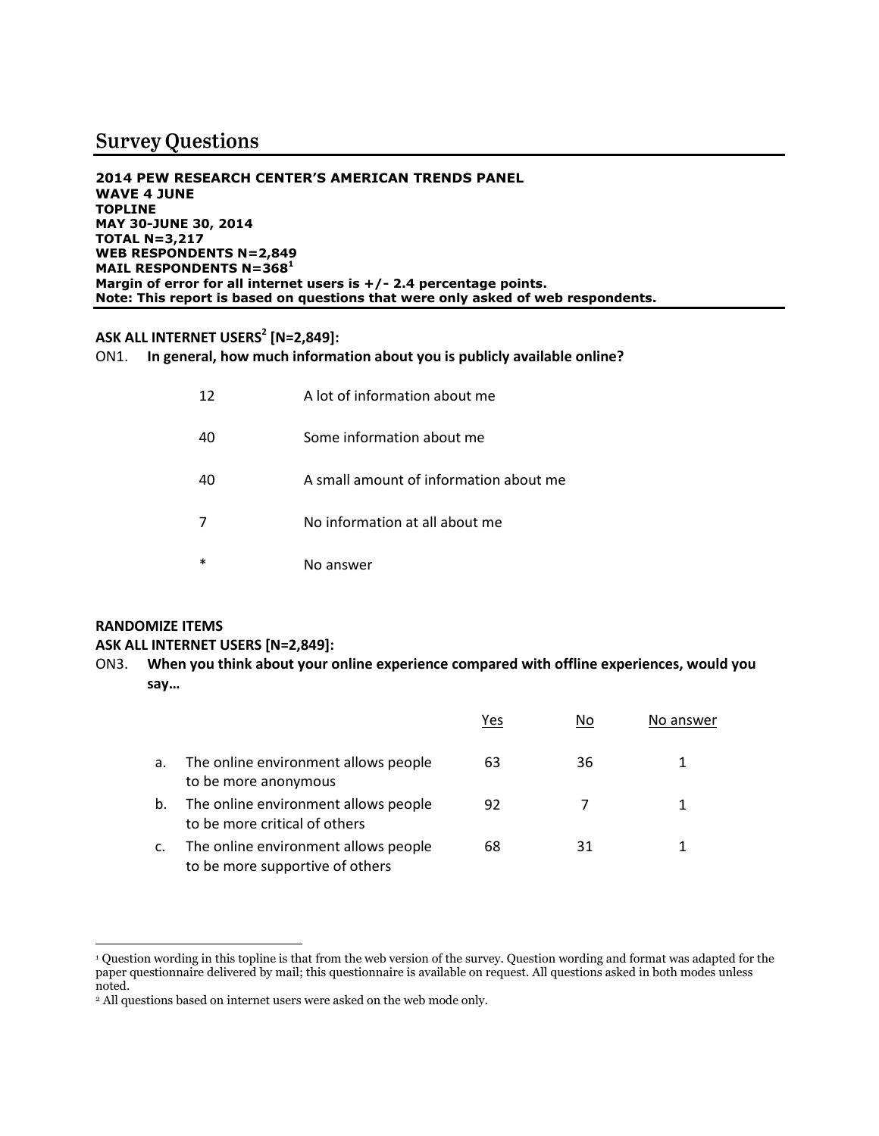# **Survey Questions**

**2014 PEW RESEARCH CENTER'S AMERICAN TRENDS PANEL WAVE 4 JUNE TOPLINE MAY 30-JUNE 30, 2014 TOTAL N=3,217 WEB RESPONDENTS N=2,849 MAIL RESPONDENTS N=368<sup>1</sup> Margin of error for all internet users is +/- 2.4 percentage points. Note: This report is based on questions that were only asked of web respondents.**

## **ASK ALL INTERNET USERS<sup>2</sup> [N=2,849]:**

ON1. **In general, how much information about you is publicly available online?**

| 12 | A lot of information about me          |
|----|----------------------------------------|
| 40 | Some information about me              |
| 40 | A small amount of information about me |
|    | No information at all about me         |
| *  | No answer                              |

## **RANDOMIZE ITEMS**

 $\overline{a}$ 

#### **ASK ALL INTERNET USERS [N=2,849]:**

ON3. **When you think about your online experience compared with offline experiences, would you say…**

|    |                                                                         | Yes | No | No answer |
|----|-------------------------------------------------------------------------|-----|----|-----------|
| a. | The online environment allows people<br>to be more anonymous            | 63  | 36 |           |
| b. | The online environment allows people<br>to be more critical of others   | 92  |    |           |
| c. | The online environment allows people<br>to be more supportive of others | 68  | 31 |           |

<sup>1</sup> Question wording in this topline is that from the web version of the survey. Question wording and format was adapted for the paper questionnaire delivered by mail; this questionnaire is available on request. All questions asked in both modes unless noted.

<sup>2</sup> All questions based on internet users were asked on the web mode only.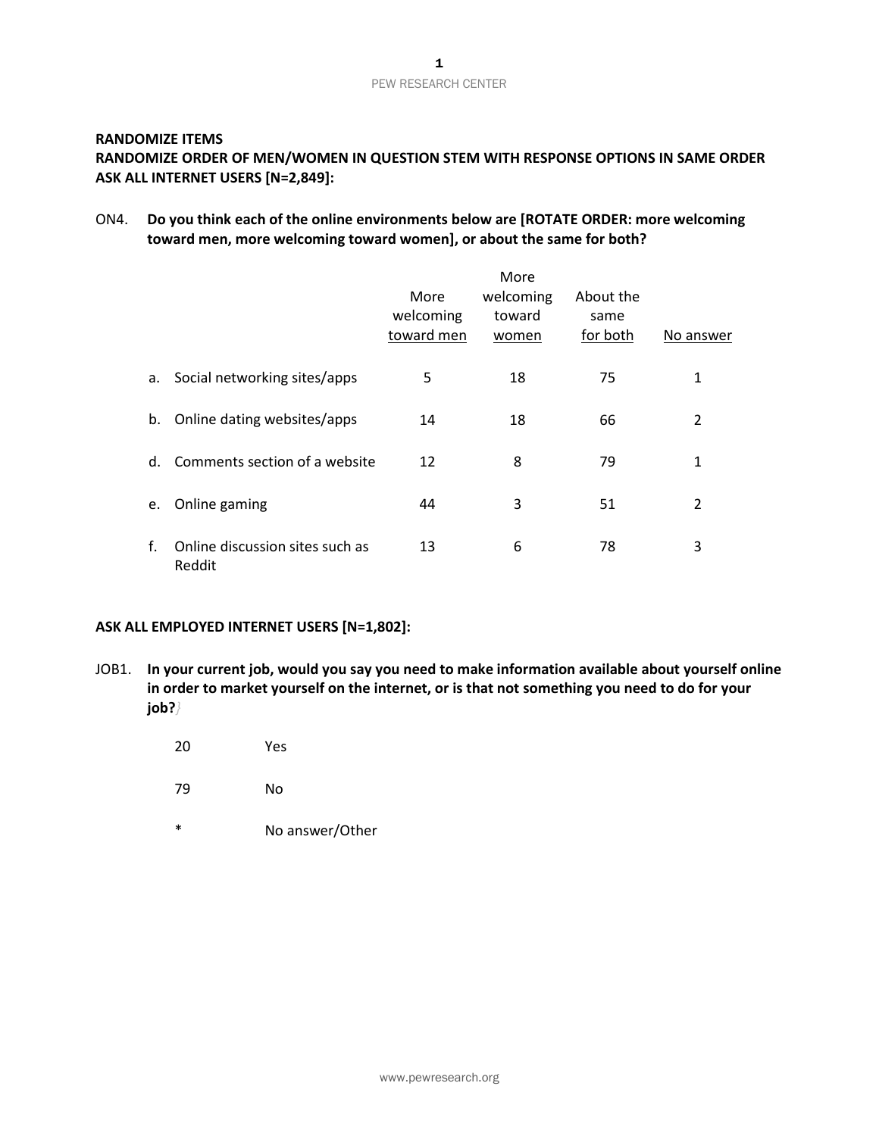# PEW RESEARCH CENTER

#### **RANDOMIZE ITEMS**

## **RANDOMIZE ORDER OF MEN/WOMEN IN QUESTION STEM WITH RESPONSE OPTIONS IN SAME ORDER ASK ALL INTERNET USERS [N=2,849]:**

#### ON4. **Do you think each of the online environments below are [ROTATE ORDER: more welcoming toward men, more welcoming toward women], or about the same for both?**

|    |                                           | More<br>welcoming<br>toward men | More<br>welcoming<br>toward<br>women | About the<br>same<br>for both | No answer |
|----|-------------------------------------------|---------------------------------|--------------------------------------|-------------------------------|-----------|
| a. | Social networking sites/apps              | 5                               | 18                                   | 75                            | 1         |
| b. | Online dating websites/apps               | 14                              | 18                                   | 66                            | 2         |
| d. | Comments section of a website             | 12                              | 8                                    | 79                            | 1         |
| e. | Online gaming                             | 44                              | 3                                    | 51                            | 2         |
| f. | Online discussion sites such as<br>Reddit | 13                              | 6                                    | 78                            | 3         |

#### **ASK ALL EMPLOYED INTERNET USERS [N=1,802]:**

- JOB1. **In your current job, would you say you need to make information available about yourself online in order to market yourself on the internet, or is that not something you need to do for your job?***}*
	- 20 Yes
	- 79 No
	- \* No answer/Other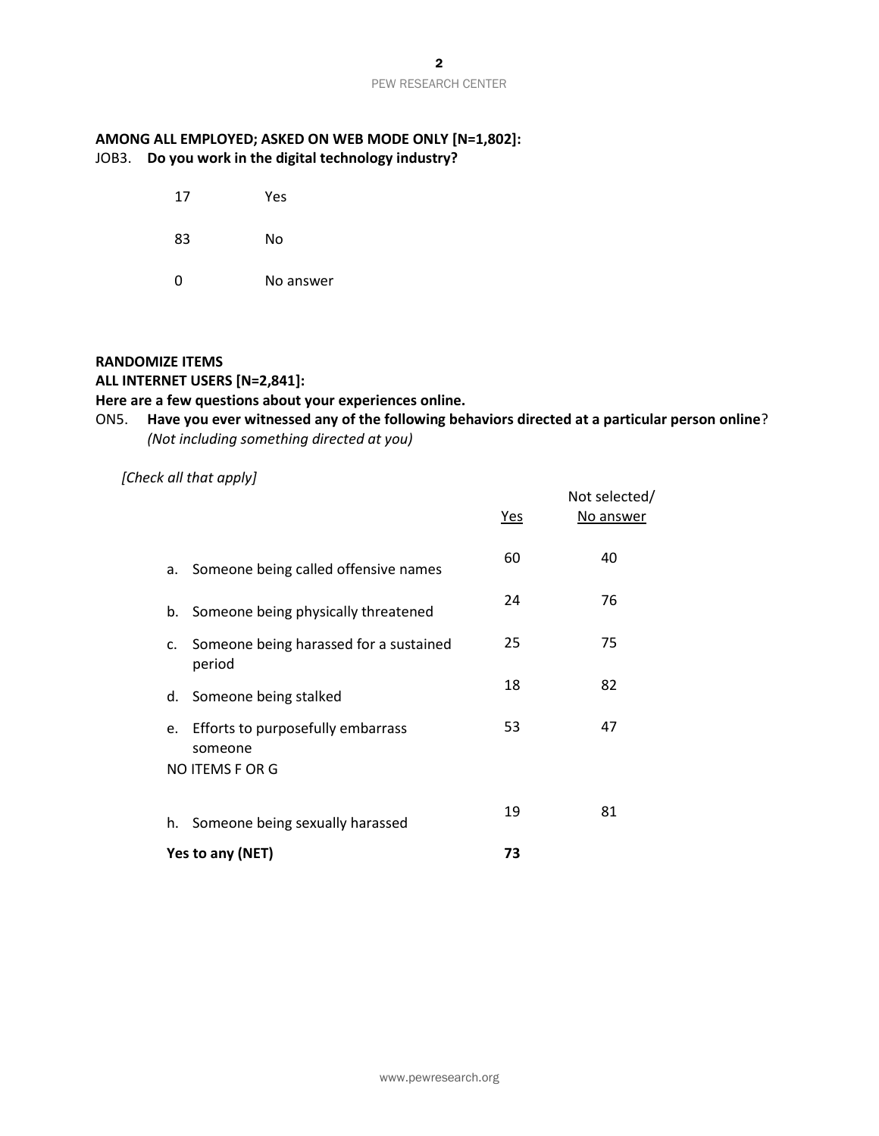#### PEW RESEARCH CENTER

## **AMONG ALL EMPLOYED; ASKED ON WEB MODE ONLY [N=1,802]:** JOB3. **Do you work in the digital technology industry?**

- 17 Yes
- 83 No
- 0 No answer

#### **RANDOMIZE ITEMS**

#### **ALL INTERNET USERS [N=2,841]:**

## **Here are a few questions about your experiences online.**

## ON5. **Have you ever witnessed any of the following behaviors directed at a particular person online**? *(Not including something directed at you)*

#### *[Check all that apply]*

|                                                     | <u>Yes</u> | Not selected/<br>No answer |  |  |
|-----------------------------------------------------|------------|----------------------------|--|--|
| a. Someone being called offensive names             | 60         | 40                         |  |  |
| b. Someone being physically threatened              | 24         | 76                         |  |  |
| c. Someone being harassed for a sustained<br>period | 25         | 75                         |  |  |
| d. Someone being stalked                            | 18         | 82                         |  |  |
| e. Efforts to purposefully embarrass<br>someone     | 53         | 47                         |  |  |
| NO ITEMS F OR G                                     |            |                            |  |  |
| h. Someone being sexually harassed                  | 19         | 81                         |  |  |
| Yes to any (NET)                                    | 73         |                            |  |  |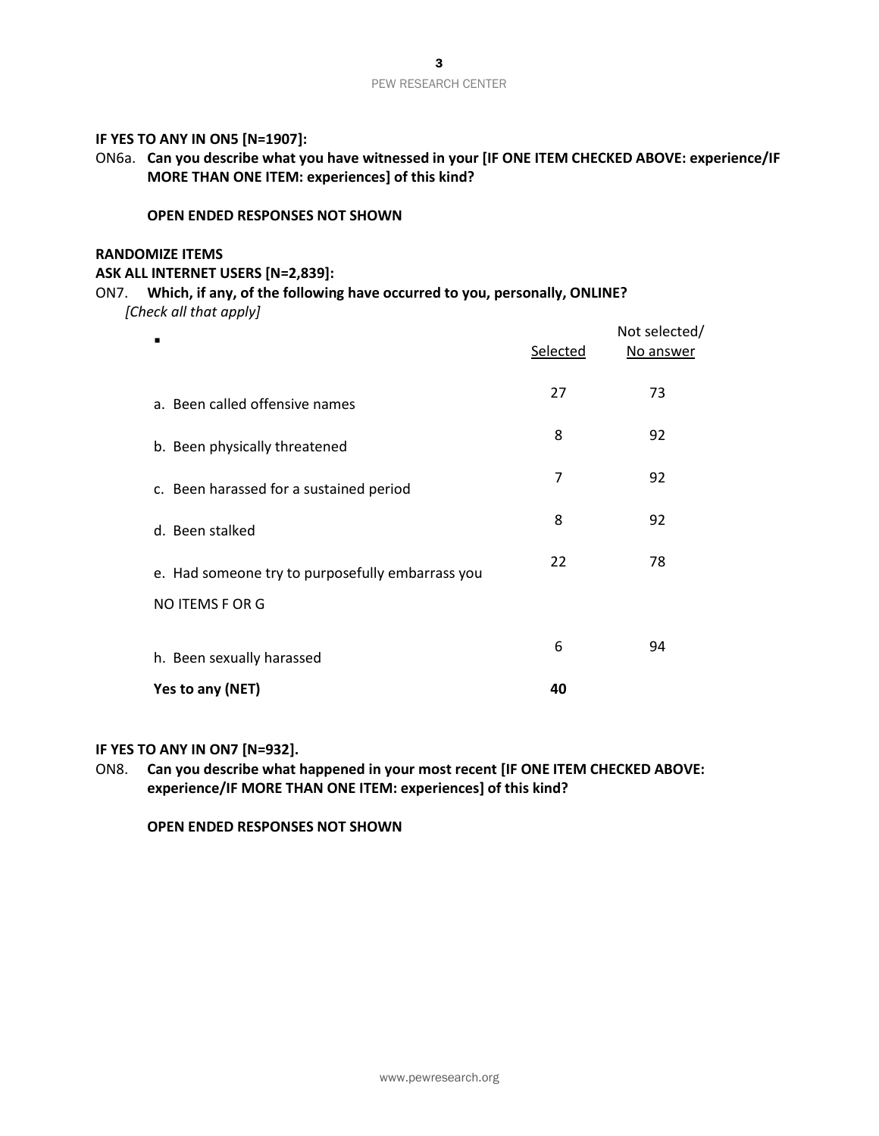#### **IF YES TO ANY IN ON5 [N=1907]:**

ON6a. **Can you describe what you have witnessed in your [IF ONE ITEM CHECKED ABOVE: experience/IF MORE THAN ONE ITEM: experiences] of this kind?** 

#### **OPEN ENDED RESPONSES NOT SHOWN**

#### **RANDOMIZE ITEMS**

#### **ASK ALL INTERNET USERS [N=2,839]:**

#### ON7. **Which, if any, of the following have occurred to you, personally, ONLINE?** *[Check all that apply]*

|                                                  | Selected | Not selected/<br>No answer |
|--------------------------------------------------|----------|----------------------------|
| a. Been called offensive names                   | 27       | 73                         |
| b. Been physically threatened                    | 8        | 92                         |
| c. Been harassed for a sustained period          | 7        | 92                         |
| d. Been stalked                                  | 8        | 92                         |
| e. Had someone try to purposefully embarrass you | 22       | 78                         |
| NO ITEMS F OR G                                  |          |                            |
| h. Been sexually harassed                        | 6        | 94                         |
| Yes to any (NET)                                 | 40       |                            |

#### **IF YES TO ANY IN ON7 [N=932].**

ON8. **Can you describe what happened in your most recent [IF ONE ITEM CHECKED ABOVE: experience/IF MORE THAN ONE ITEM: experiences] of this kind?** 

**OPEN ENDED RESPONSES NOT SHOWN**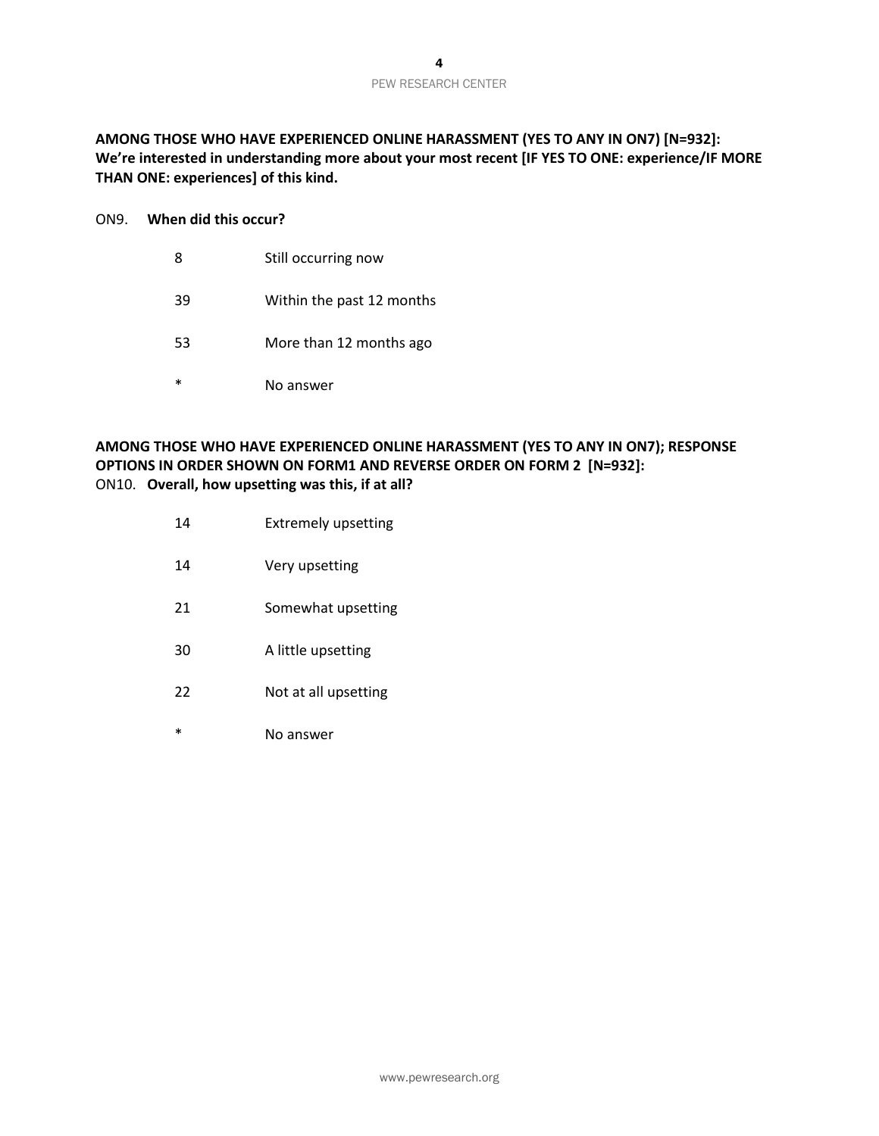**AMONG THOSE WHO HAVE EXPERIENCED ONLINE HARASSMENT (YES TO ANY IN ON7) [N=932]: We're interested in understanding more about your most recent [IF YES TO ONE: experience/IF MORE THAN ONE: experiences] of this kind.**

#### ON9. **When did this occur?**

- 8 Still occurring now
- 39 Within the past 12 months
- 53 More than 12 months ago
- \* No answer

#### **AMONG THOSE WHO HAVE EXPERIENCED ONLINE HARASSMENT (YES TO ANY IN ON7); RESPONSE OPTIONS IN ORDER SHOWN ON FORM1 AND REVERSE ORDER ON FORM 2 [N=932]:** ON10. **Overall, how upsetting was this, if at all?**

- 14 Extremely upsetting
- 14 Very upsetting
- 21 Somewhat upsetting
- 30 A little upsetting
- 22 Not at all upsetting
- \* No answer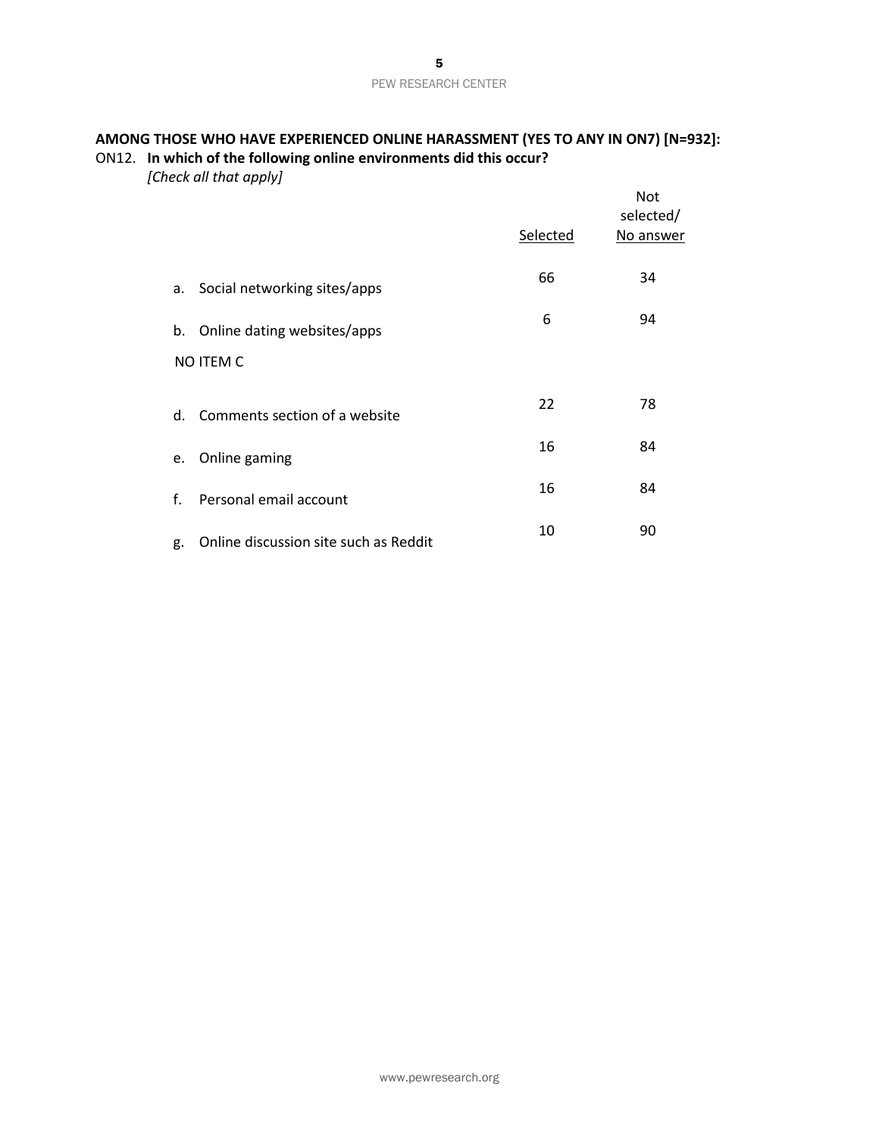## **AMONG THOSE WHO HAVE EXPERIENCED ONLINE HARASSMENT (YES TO ANY IN ON7) [N=932]:** ON12. **In which of the following online environments did this occur?**

*[Check all that apply]*

|    |                                       | Selected | <b>Not</b><br>selected/<br>No answer |
|----|---------------------------------------|----------|--------------------------------------|
| a. | Social networking sites/apps          | 66       | 34                                   |
| b. | Online dating websites/apps           | 6        | 94                                   |
|    | NO ITEM C                             |          |                                      |
| d. | Comments section of a website         | 22       | 78                                   |
| e. | Online gaming                         | 16       | 84                                   |
| f. | Personal email account                | 16       | 84                                   |
| g. | Online discussion site such as Reddit | 10       | 90                                   |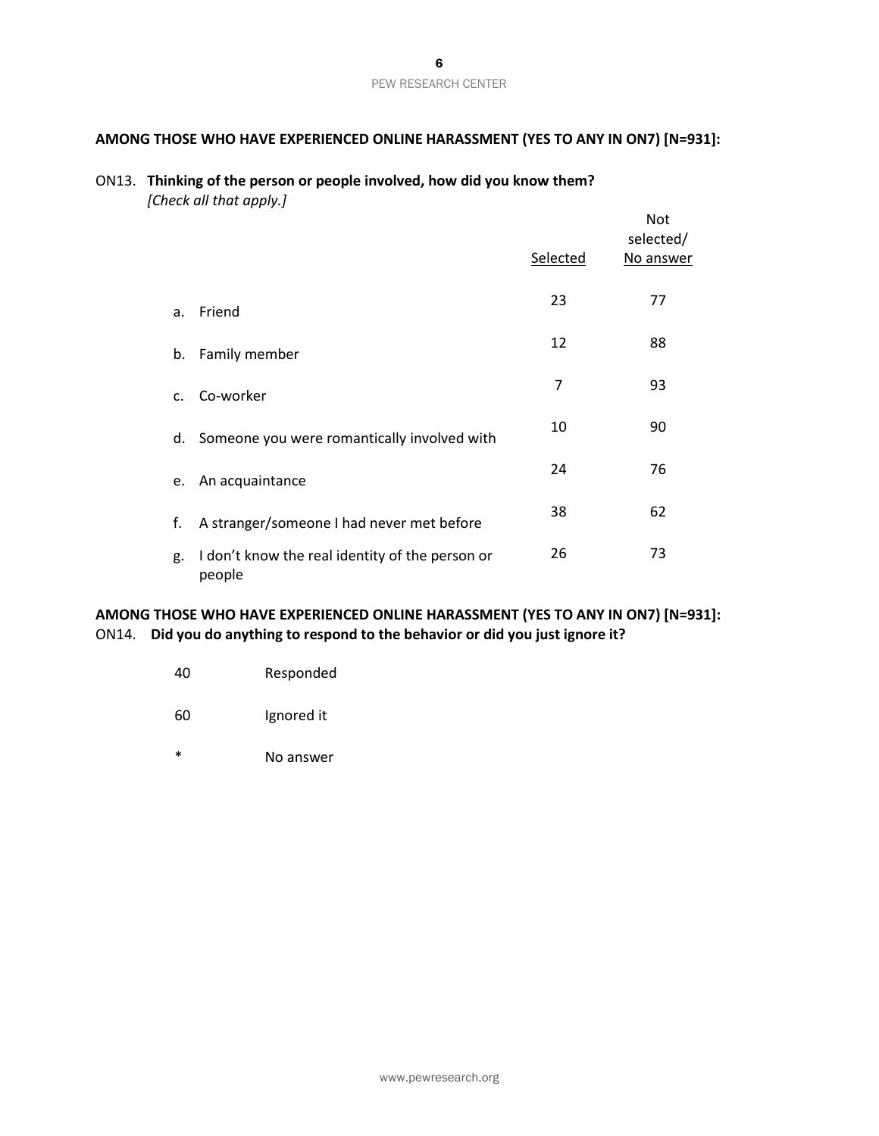#### PEW RESEARCH CENTER

## **AMONG THOSE WHO HAVE EXPERIENCED ONLINE HARASSMENT (YES TO ANY IN ON7) [N=931]:**

#### ON13. **Thinking of the person or people involved, how did you know them?** *[Check all that apply.]*

|             |                                                           | Selected | <b>Not</b><br>selected/<br>No answer |
|-------------|-----------------------------------------------------------|----------|--------------------------------------|
|             |                                                           |          |                                      |
| a.          | Friend                                                    | 23       | 77                                   |
| b.          | Family member                                             | 12       | 88                                   |
| $C_{\star}$ | Co-worker                                                 | 7        | 93                                   |
| d.          | Someone you were romantically involved with               | 10       | 90                                   |
| e.          | An acquaintance                                           | 24       | 76                                   |
| f.          | A stranger/someone I had never met before                 | 38       | 62                                   |
| g.          | I don't know the real identity of the person or<br>people | 26       | 73                                   |

## **AMONG THOSE WHO HAVE EXPERIENCED ONLINE HARASSMENT (YES TO ANY IN ON7) [N=931]:** ON14. **Did you do anything to respond to the behavior or did you just ignore it?**

| 40 | Responded |
|----|-----------|
|    |           |

- 60 Ignored it
- \* No answer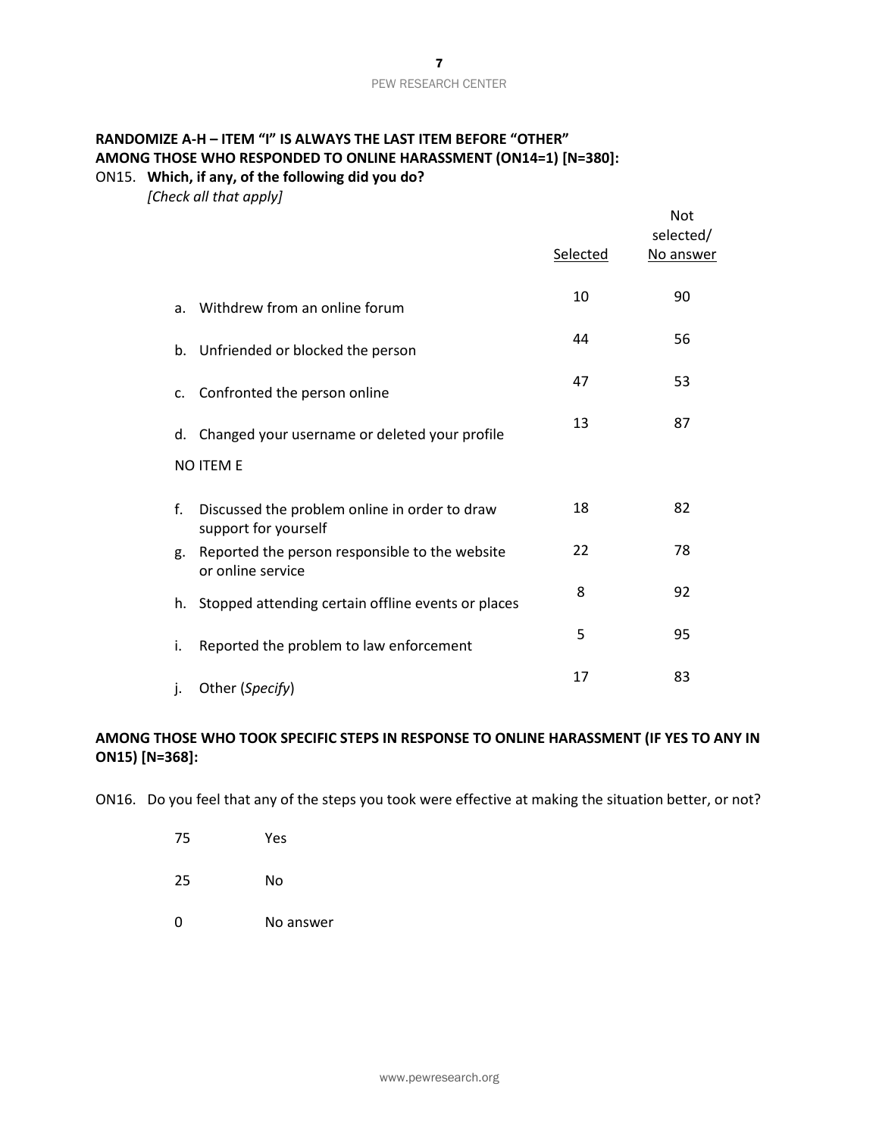## **RANDOMIZE A-H – ITEM "I" IS ALWAYS THE LAST ITEM BEFORE "OTHER" AMONG THOSE WHO RESPONDED TO ONLINE HARASSMENT (ON14=1) [N=380]:** ON15. **Which, if any, of the following did you do?**

*[Check all that apply]*

|             |                                                                       | Selected | Not<br>selected/<br>No answer |
|-------------|-----------------------------------------------------------------------|----------|-------------------------------|
| a.          | Withdrew from an online forum                                         | 10       | 90                            |
|             | b. Unfriended or blocked the person                                   | 44       | 56                            |
| $C_{\cdot}$ | Confronted the person online                                          | 47       | 53                            |
|             | d. Changed your username or deleted your profile                      | 13       | 87                            |
|             | <b>NO ITEM E</b>                                                      |          |                               |
| f.          | Discussed the problem online in order to draw<br>support for yourself | 18       | 82                            |
| g.          | Reported the person responsible to the website<br>or online service   | 22       | 78                            |
|             | h. Stopped attending certain offline events or places                 | 8        | 92                            |
| i.          | Reported the problem to law enforcement                               | 5        | 95                            |
| j.          | Other (Specify)                                                       | 17       | 83                            |

## **AMONG THOSE WHO TOOK SPECIFIC STEPS IN RESPONSE TO ONLINE HARASSMENT (IF YES TO ANY IN ON15) [N=368]:**

ON16. Do you feel that any of the steps you took were effective at making the situation better, or not?

- 75 Yes
- 25 No
- 0 No answer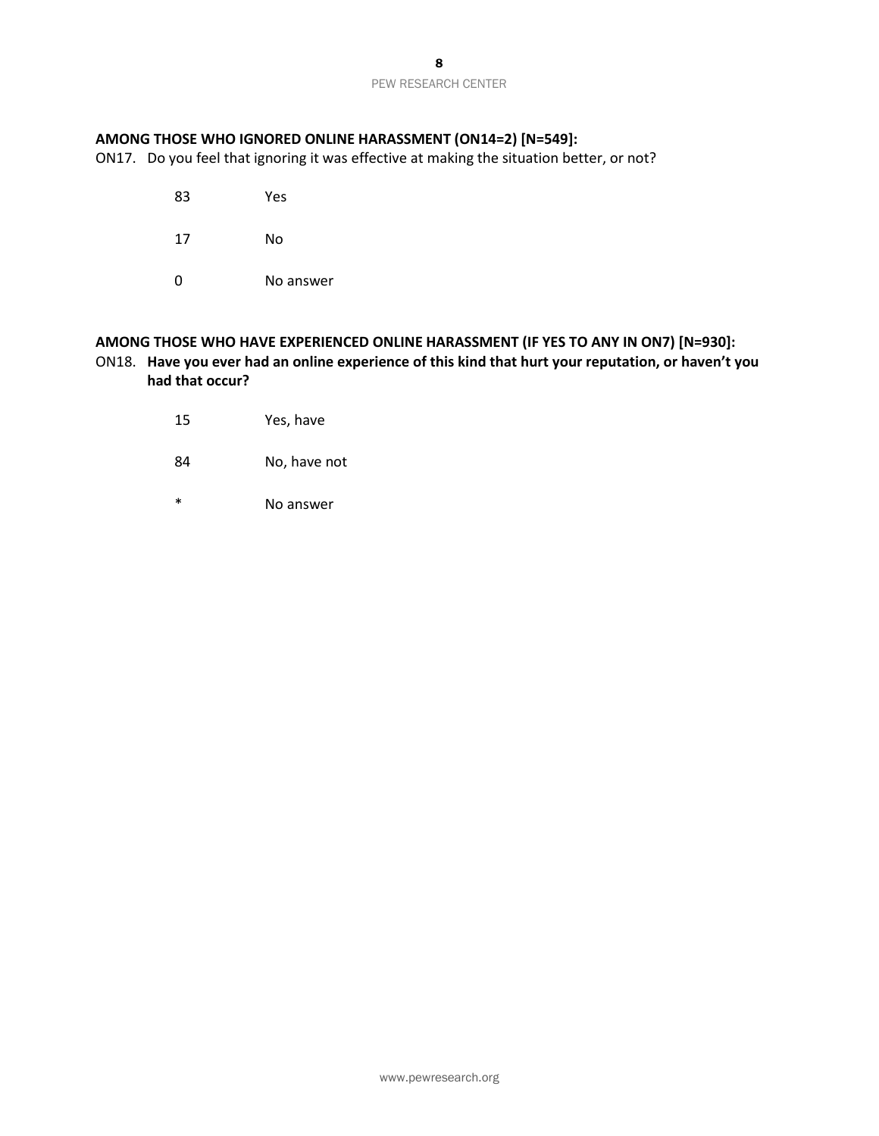## **AMONG THOSE WHO IGNORED ONLINE HARASSMENT (ON14=2) [N=549]:**

ON17. Do you feel that ignoring it was effective at making the situation better, or not?

- 83 Yes
- 17 No
- 0 No answer

## **AMONG THOSE WHO HAVE EXPERIENCED ONLINE HARASSMENT (IF YES TO ANY IN ON7) [N=930]:** ON18. **Have you ever had an online experience of this kind that hurt your reputation, or haven't you had that occur?**

- 15 Yes, have
- 84 No, have not
- \* No answer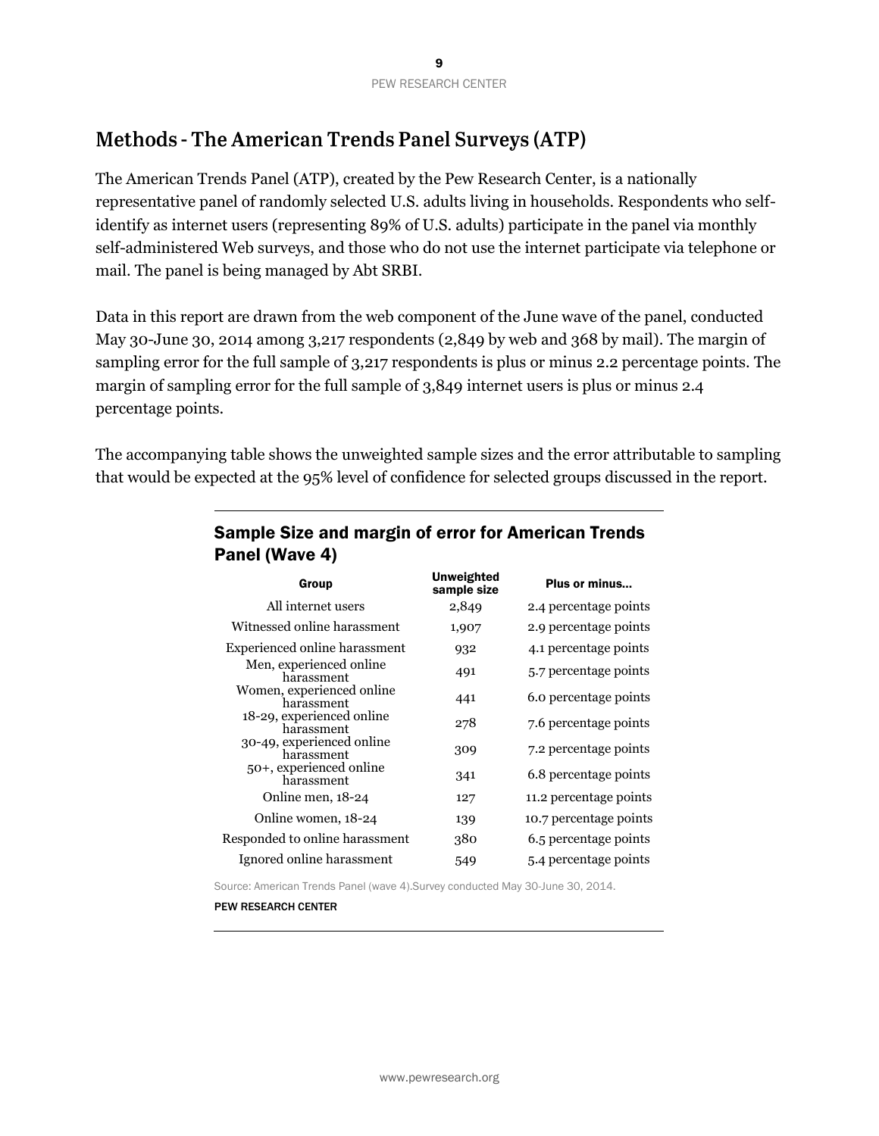# **Methods - The American Trends Panel Surveys (ATP)**

The American Trends Panel (ATP), created by the Pew Research Center, is a nationally representative panel of randomly selected U.S. adults living in households. Respondents who selfidentify as internet users (representing 89% of U.S. adults) participate in the panel via monthly self-administered Web surveys, and those who do not use the internet participate via telephone or mail. The panel is being managed by Abt SRBI.

Data in this report are drawn from the web component of the June wave of the panel, conducted May 30-June 30, 2014 among 3,217 respondents (2,849 by web and 368 by mail). The margin of sampling error for the full sample of 3,217 respondents is plus or minus 2.2 percentage points. The margin of sampling error for the full sample of 3,849 internet users is plus or minus 2.4 percentage points.

The accompanying table shows the unweighted sample sizes and the error attributable to sampling that would be expected at the 95% level of confidence for selected groups discussed in the report.

| Group                                   | <b>Unweighted</b><br>sample size | Plus or minus          |
|-----------------------------------------|----------------------------------|------------------------|
| All internet users                      | 2,849                            | 2.4 percentage points  |
| Witnessed online harassment             | 1,907                            | 2.9 percentage points  |
| Experienced online harassment           | 932                              | 4.1 percentage points  |
| Men, experienced online<br>harassment   | 491                              | 5.7 percentage points  |
| Women, experienced online<br>harassment | 441                              | 6.0 percentage points  |
| 18-29, experienced online<br>harassment | 278                              | 7.6 percentage points  |
| 30-49, experienced online<br>harassment | 309                              | 7.2 percentage points  |
| 50+, experienced online<br>harassment   | 341                              | 6.8 percentage points  |
| Online men, 18-24                       | 127                              | 11.2 percentage points |
| Online women, 18-24                     | 139                              | 10.7 percentage points |
| Responded to online harassment          | 380                              | 6.5 percentage points  |
| Ignored online harassment               | 549                              | 5.4 percentage points  |

## Sample Size and margin of error for American Trends Panel (Wave 4)

Source: American Trends Panel (wave 4).Survey conducted May 30-June 30, 2014.

PEW RESEARCH CENTER